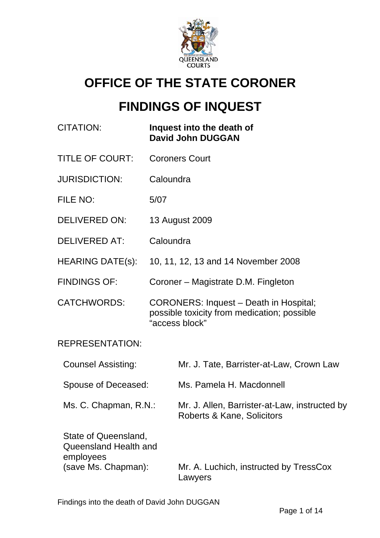

# **OFFICE OF THE STATE CORONER**

# **FINDINGS OF INQUEST**

| <b>CITATION:</b>                                                                  | Inquest into the death of<br><b>David John DUGGAN</b>                                                   |
|-----------------------------------------------------------------------------------|---------------------------------------------------------------------------------------------------------|
| <b>TITLE OF COURT:</b>                                                            | <b>Coroners Court</b>                                                                                   |
| <b>JURISDICTION:</b>                                                              | Caloundra                                                                                               |
| FILE NO:                                                                          | 5/07                                                                                                    |
| <b>DELIVERED ON:</b>                                                              | 13 August 2009                                                                                          |
| <b>DELIVERED AT:</b>                                                              | Caloundra                                                                                               |
| HEARING DATE(s):                                                                  | 10, 11, 12, 13 and 14 November 2008                                                                     |
| <b>FINDINGS OF:</b>                                                               | Coroner – Magistrate D.M. Fingleton                                                                     |
| <b>CATCHWORDS:</b>                                                                | CORONERS: Inquest - Death in Hospital;<br>possible toxicity from medication; possible<br>"access block" |
| <b>REPRESENTATION:</b>                                                            |                                                                                                         |
| <b>Counsel Assisting:</b>                                                         | Mr. J. Tate, Barrister-at-Law, Crown Law                                                                |
| Spouse of Deceased:                                                               | Ms. Pamela H. Macdonnell                                                                                |
| Ms. C. Chapman, R.N.:                                                             | Mr. J. Allen, Barrister-at-Law, instructed by<br>Roberts & Kane, Solicitors                             |
| State of Queensland,<br>Queensland Health and<br>employees<br>(save Ms. Chapman): | Mr. A. Luchich, instructed by TressCox                                                                  |
|                                                                                   | Lawyers                                                                                                 |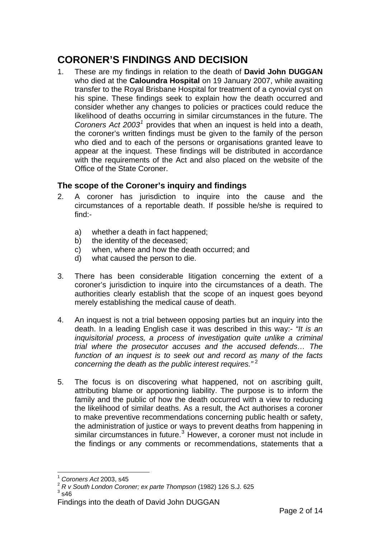# **CORONER'S FINDINGS AND DECISION**

1. These are my findings in relation to the death of **David John DUGGAN** who died at the **Caloundra Hospital** on 19 January 2007, while awaiting transfer to the Royal Brisbane Hospital for treatment of a cynovial cyst on his spine. These findings seek to explain how the death occurred and consider whether any changes to policies or practices could reduce the likelihood of deaths occurring in similar circumstances in the future. The Coroners Act 2003<sup>[1](#page-1-0)</sup> provides that when an inquest is held into a death, the coroner's written findings must be given to the family of the person who died and to each of the persons or organisations granted leave to appear at the inquest. These findings will be distributed in accordance with the requirements of the Act and also placed on the website of the Office of the State Coroner.

# **The scope of the Coroner's inquiry and findings**

- 2. A coroner has jurisdiction to inquire into the cause and the circumstances of a reportable death. If possible he/she is required to find:
	- a) whether a death in fact happened;
	- b) the identity of the deceased;
	- c) when, where and how the death occurred; and
	- d) what caused the person to die.
- 3. There has been considerable litigation concerning the extent of a coroner's jurisdiction to inquire into the circumstances of a death. The authorities clearly establish that the scope of an inquest goes beyond merely establishing the medical cause of death.
- 4. An inquest is not a trial between opposing parties but an inquiry into the death. In a leading English case it was described in this way:- *"It is an inquisitorial process, a process of investigation quite unlike a criminal trial where the prosecutor accuses and the accused defends… The function of an inquest is to seek out and record as many of the facts concerning the death as the public interest requires."* [2](#page-1-1)
- 5. The focus is on discovering what happened, not on ascribing guilt, attributing blame or apportioning liability. The purpose is to inform the family and the public of how the death occurred with a view to reducing the likelihood of similar deaths. As a result, the Act authorises a coroner to make preventive recommendations concerning public health or safety, the administration of justice or ways to prevent deaths from happening in similar circumstances in future.<sup>[3](#page-1-2)</sup> However, a coroner must not include in the findings or any comments or recommendations, statements that a

 $\overline{a}$ <sup>1</sup> *Coroners Act* 2003, s45

<span id="page-1-1"></span><span id="page-1-0"></span><sup>2</sup> *R v South London Coroner; ex parte Thompson* (1982) 126 S.J. 625 <sup>3</sup>  $3$  s46

<span id="page-1-2"></span>Findings into the death of David John DUGGAN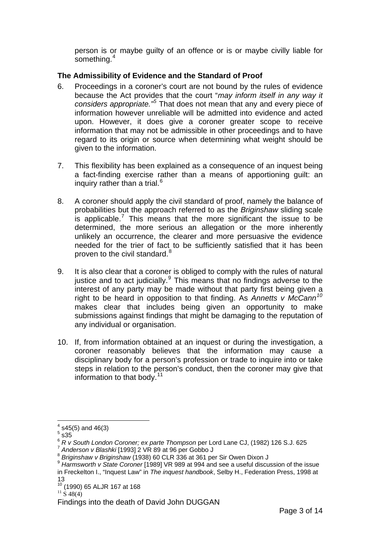person is or maybe guilty of an offence or is or maybe civilly liable for something.<sup>[4](#page-2-0)</sup>

### **The Admissibility of Evidence and the Standard of Proof**

- 6. Proceedings in a coroner's court are not bound by the rules of evidence because the Act provides that the court "*may inform itself in any way it considers appropriate."[5](#page-2-1)* That does not mean that any and every piece of information however unreliable will be admitted into evidence and acted upon. However, it does give a coroner greater scope to receive information that may not be admissible in other proceedings and to have regard to its origin or source when determining what weight should be given to the information.
- 7. This flexibility has been explained as a consequence of an inquest being a fact-finding exercise rather than a means of apportioning guilt: an inquiry rather than a trial.<sup>[6](#page-2-2)</sup>
- 8. A coroner should apply the civil standard of proof, namely the balance of probabilities but the approach referred to as the *Briginshaw* sliding scale is applicable.<sup>[7](#page-2-3)</sup> This means that the more significant the issue to be determined, the more serious an allegation or the more inherently unlikely an occurrence, the clearer and more persuasive the evidence needed for the trier of fact to be sufficiently satisfied that it has been proven to the civil standard.<sup>[8](#page-2-4)</sup>
- 9. It is also clear that a coroner is obliged to comply with the rules of natural justice and to act judicially. $9$  This means that no findings adverse to the interest of any party may be made without that party first being given a right to be heard in opposition to that finding. As *Annetts v McCann[10](#page-2-6)* makes clear that includes being given an opportunity to make submissions against findings that might be damaging to the reputation of any individual or organisation.
- 10. If, from information obtained at an inquest or during the investigation, a coroner reasonably believes that the information may cause a disciplinary body for a person's profession or trade to inquire into or take steps in relation to the person's conduct, then the coroner may give that information to that body.  $11$

<span id="page-2-0"></span> $4$  s45(5) and 46(3)

 $^5$  s35  $\overline{)}$ 

<span id="page-2-3"></span><span id="page-2-2"></span><span id="page-2-1"></span><sup>&</sup>lt;sup>6</sup> R v South London Coroner; ex parte Thompson per Lord Lane CJ, (1982) 126 S.J. 625<br>
<sup>7</sup> Anderson v Blashki [1993] 2 VR 89 at 96 per Gobbo J<br>
<sup>8</sup> Briginshaw v Briginshaw (1938) 60 CLR 336 at 361 per Sir Owen Dixon J<br>
<sup>9</sup>

<span id="page-2-5"></span><span id="page-2-4"></span>in Freckelton I., "Inquest Law" in *The inquest handbook*, Selby H., Federation Press, 1998 at 13

<span id="page-2-6"></span> $\frac{10}{11}$  (1990) 65 ALJR 167 at 168<br> $\frac{11}{11}$  S 48(4)

<span id="page-2-7"></span>Findings into the death of David John DUGGAN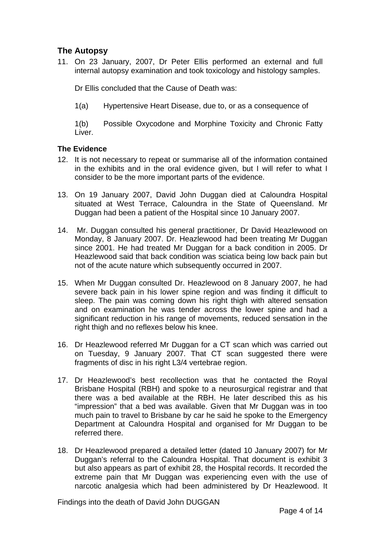# **The Autopsy**

11. On 23 January, 2007, Dr Peter Ellis performed an external and full internal autopsy examination and took toxicology and histology samples.

Dr Ellis concluded that the Cause of Death was:

1(a) Hypertensive Heart Disease, due to, or as a consequence of

1(b) Possible Oxycodone and Morphine Toxicity and Chronic Fatty Liver.

#### **The Evidence**

- 12. It is not necessary to repeat or summarise all of the information contained in the exhibits and in the oral evidence given, but I will refer to what I consider to be the more important parts of the evidence.
- 13. On 19 January 2007, David John Duggan died at Caloundra Hospital situated at West Terrace, Caloundra in the State of Queensland. Mr Duggan had been a patient of the Hospital since 10 January 2007.
- 14. Mr. Duggan consulted his general practitioner, Dr David Heazlewood on Monday, 8 January 2007. Dr. Heazlewood had been treating Mr Duggan since 2001. He had treated Mr Duggan for a back condition in 2005. Dr Heazlewood said that back condition was sciatica being low back pain but not of the acute nature which subsequently occurred in 2007.
- 15. When Mr Duggan consulted Dr. Heazlewood on 8 January 2007, he had severe back pain in his lower spine region and was finding it difficult to sleep. The pain was coming down his right thigh with altered sensation and on examination he was tender across the lower spine and had a significant reduction in his range of movements, reduced sensation in the right thigh and no reflexes below his knee.
- 16. Dr Heazlewood referred Mr Duggan for a CT scan which was carried out on Tuesday, 9 January 2007. That CT scan suggested there were fragments of disc in his right L3/4 vertebrae region.
- 17. Dr Heazlewood's best recollection was that he contacted the Royal Brisbane Hospital (RBH) and spoke to a neurosurgical registrar and that there was a bed available at the RBH. He later described this as his "impression" that a bed was available. Given that Mr Duggan was in too much pain to travel to Brisbane by car he said he spoke to the Emergency Department at Caloundra Hospital and organised for Mr Duggan to be referred there.
- 18. Dr Heazlewood prepared a detailed letter (dated 10 January 2007) for Mr Duggan's referral to the Caloundra Hospital. That document is exhibit 3 but also appears as part of exhibit 28, the Hospital records. It recorded the extreme pain that Mr Duggan was experiencing even with the use of narcotic analgesia which had been administered by Dr Heazlewood. It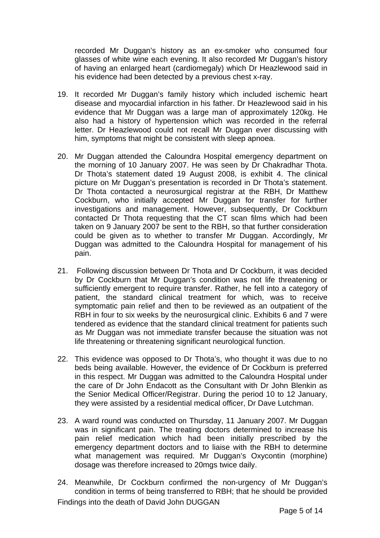recorded Mr Duggan's history as an ex-smoker who consumed four glasses of white wine each evening. It also recorded Mr Duggan's history of having an enlarged heart (cardiomegaly) which Dr Heazlewood said in his evidence had been detected by a previous chest x-ray.

- 19. It recorded Mr Duggan's family history which included ischemic heart disease and myocardial infarction in his father. Dr Heazlewood said in his evidence that Mr Duggan was a large man of approximately 120kg. He also had a history of hypertension which was recorded in the referral letter. Dr Heazlewood could not recall Mr Duggan ever discussing with him, symptoms that might be consistent with sleep apnoea.
- 20. Mr Duggan attended the Caloundra Hospital emergency department on the morning of 10 January 2007. He was seen by Dr Chakradhar Thota. Dr Thota's statement dated 19 August 2008, is exhibit 4. The clinical picture on Mr Duggan's presentation is recorded in Dr Thota's statement. Dr Thota contacted a neurosurgical registrar at the RBH, Dr Matthew Cockburn, who initially accepted Mr Duggan for transfer for further investigations and management. However, subsequently, Dr Cockburn contacted Dr Thota requesting that the CT scan films which had been taken on 9 January 2007 be sent to the RBH, so that further consideration could be given as to whether to transfer Mr Duggan. Accordingly, Mr Duggan was admitted to the Caloundra Hospital for management of his pain.
- 21. Following discussion between Dr Thota and Dr Cockburn, it was decided by Dr Cockburn that Mr Duggan's condition was not life threatening or sufficiently emergent to require transfer. Rather, he fell into a category of patient, the standard clinical treatment for which, was to receive symptomatic pain relief and then to be reviewed as an outpatient of the RBH in four to six weeks by the neurosurgical clinic. Exhibits 6 and 7 were tendered as evidence that the standard clinical treatment for patients such as Mr Duggan was not immediate transfer because the situation was not life threatening or threatening significant neurological function.
- 22. This evidence was opposed to Dr Thota's, who thought it was due to no beds being available. However, the evidence of Dr Cockburn is preferred in this respect. Mr Duggan was admitted to the Caloundra Hospital under the care of Dr John Endacott as the Consultant with Dr John Blenkin as the Senior Medical Officer/Registrar. During the period 10 to 12 January, they were assisted by a residential medical officer, Dr Dave Lutchman.
- 23. A ward round was conducted on Thursday, 11 January 2007. Mr Duggan was in significant pain. The treating doctors determined to increase his pain relief medication which had been initially prescribed by the emergency department doctors and to liaise with the RBH to determine what management was required. Mr Duggan's Oxycontin (morphine) dosage was therefore increased to 20mgs twice daily.
- Findings into the death of David John DUGGAN 24. Meanwhile, Dr Cockburn confirmed the non-urgency of Mr Duggan's condition in terms of being transferred to RBH; that he should be provided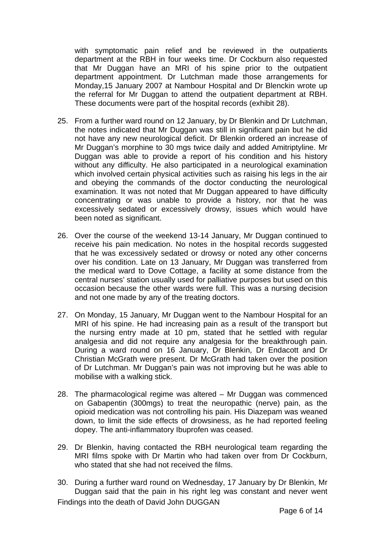with symptomatic pain relief and be reviewed in the outpatients department at the RBH in four weeks time. Dr Cockburn also requested that Mr Duggan have an MRI of his spine prior to the outpatient department appointment. Dr Lutchman made those arrangements for Monday,15 January 2007 at Nambour Hospital and Dr Blenckin wrote up the referral for Mr Duggan to attend the outpatient department at RBH. These documents were part of the hospital records (exhibit 28).

- 25. From a further ward round on 12 January, by Dr Blenkin and Dr Lutchman, the notes indicated that Mr Duggan was still in significant pain but he did not have any new neurological deficit. Dr Blenkin ordered an increase of Mr Duggan's morphine to 30 mgs twice daily and added Amitriptyline. Mr Duggan was able to provide a report of his condition and his history without any difficulty. He also participated in a neurological examination which involved certain physical activities such as raising his legs in the air and obeying the commands of the doctor conducting the neurological examination. It was not noted that Mr Duggan appeared to have difficulty concentrating or was unable to provide a history, nor that he was excessively sedated or excessively drowsy, issues which would have been noted as significant.
- 26. Over the course of the weekend 13-14 January, Mr Duggan continued to receive his pain medication. No notes in the hospital records suggested that he was excessively sedated or drowsy or noted any other concerns over his condition. Late on 13 January, Mr Duggan was transferred from the medical ward to Dove Cottage, a facility at some distance from the central nurses' station usually used for palliative purposes but used on this occasion because the other wards were full. This was a nursing decision and not one made by any of the treating doctors.
- 27. On Monday, 15 January, Mr Duggan went to the Nambour Hospital for an MRI of his spine. He had increasing pain as a result of the transport but the nursing entry made at 10 pm, stated that he settled with regular analgesia and did not require any analgesia for the breakthrough pain. During a ward round on 16 January, Dr Blenkin, Dr Endacott and Dr Christian McGrath were present. Dr McGrath had taken over the position of Dr Lutchman. Mr Duggan's pain was not improving but he was able to mobilise with a walking stick.
- 28. The pharmacological regime was altered Mr Duggan was commenced on Gabapentin (300mgs) to treat the neuropathic (nerve) pain, as the opioid medication was not controlling his pain. His Diazepam was weaned down, to limit the side effects of drowsiness, as he had reported feeling dopey. The anti-inflammatory Ibuprofen was ceased.
- 29. Dr Blenkin, having contacted the RBH neurological team regarding the MRI films spoke with Dr Martin who had taken over from Dr Cockburn, who stated that she had not received the films.
- Findings into the death of David John DUGGAN 30. During a further ward round on Wednesday, 17 January by Dr Blenkin, Mr Duggan said that the pain in his right leg was constant and never went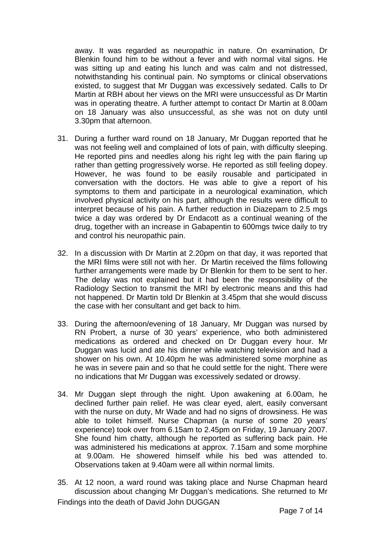away. It was regarded as neuropathic in nature. On examination, Dr Blenkin found him to be without a fever and with normal vital signs. He was sitting up and eating his lunch and was calm and not distressed, notwithstanding his continual pain. No symptoms or clinical observations existed, to suggest that Mr Duggan was excessively sedated. Calls to Dr Martin at RBH about her views on the MRI were unsuccessful as Dr Martin was in operating theatre. A further attempt to contact Dr Martin at 8.00am on 18 January was also unsuccessful, as she was not on duty until 3.30pm that afternoon.

- 31. During a further ward round on 18 January, Mr Duggan reported that he was not feeling well and complained of lots of pain, with difficulty sleeping. He reported pins and needles along his right leg with the pain flaring up rather than getting progressively worse. He reported as still feeling dopey. However, he was found to be easily rousable and participated in conversation with the doctors. He was able to give a report of his symptoms to them and participate in a neurological examination, which involved physical activity on his part, although the results were difficult to interpret because of his pain. A further reduction in Diazepam to 2.5 mgs twice a day was ordered by Dr Endacott as a continual weaning of the drug, together with an increase in Gabapentin to 600mgs twice daily to try and control his neuropathic pain.
- 32. In a discussion with Dr Martin at 2.20pm on that day, it was reported that the MRI films were still not with her. Dr Martin received the films following further arrangements were made by Dr Blenkin for them to be sent to her. The delay was not explained but it had been the responsibility of the Radiology Section to transmit the MRI by electronic means and this had not happened. Dr Martin told Dr Blenkin at 3.45pm that she would discuss the case with her consultant and get back to him.
- 33. During the afternoon/evening of 18 January, Mr Duggan was nursed by RN Probert, a nurse of 30 years' experience, who both administered medications as ordered and checked on Dr Duggan every hour. Mr Duggan was lucid and ate his dinner while watching television and had a shower on his own. At 10.40pm he was administered some morphine as he was in severe pain and so that he could settle for the night. There were no indications that Mr Duggan was excessively sedated or drowsy.
- 34. Mr Duggan slept through the night. Upon awakening at 6.00am, he declined further pain relief. He was clear eyed, alert, easily conversant with the nurse on duty. Mr Wade and had no signs of drowsiness. He was able to toilet himself. Nurse Chapman (a nurse of some 20 years' experience) took over from 6.15am to 2.45pm on Friday, 19 January 2007. She found him chatty, although he reported as suffering back pain. He was administered his medications at approx. 7.15am and some morphine at 9.00am. He showered himself while his bed was attended to. Observations taken at 9.40am were all within normal limits.
- Findings into the death of David John DUGGAN 35. At 12 noon, a ward round was taking place and Nurse Chapman heard discussion about changing Mr Duggan's medications. She returned to Mr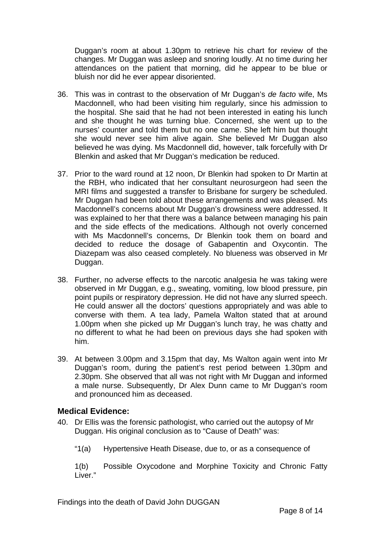Duggan's room at about 1.30pm to retrieve his chart for review of the changes. Mr Duggan was asleep and snoring loudly. At no time during her attendances on the patient that morning, did he appear to be blue or bluish nor did he ever appear disoriented.

- 36. This was in contrast to the observation of Mr Duggan's *de facto* wife, Ms Macdonnell, who had been visiting him regularly, since his admission to the hospital. She said that he had not been interested in eating his lunch and she thought he was turning blue. Concerned, she went up to the nurses' counter and told them but no one came. She left him but thought she would never see him alive again. She believed Mr Duggan also believed he was dying. Ms Macdonnell did, however, talk forcefully with Dr Blenkin and asked that Mr Duggan's medication be reduced.
- 37. Prior to the ward round at 12 noon, Dr Blenkin had spoken to Dr Martin at the RBH, who indicated that her consultant neurosurgeon had seen the MRI films and suggested a transfer to Brisbane for surgery be scheduled. Mr Duggan had been told about these arrangements and was pleased. Ms Macdonnell's concerns about Mr Duggan's drowsiness were addressed. It was explained to her that there was a balance between managing his pain and the side effects of the medications. Although not overly concerned with Ms Macdonnell's concerns, Dr Blenkin took them on board and decided to reduce the dosage of Gabapentin and Oxycontin. The Diazepam was also ceased completely. No blueness was observed in Mr Duggan.
- 38. Further, no adverse effects to the narcotic analgesia he was taking were observed in Mr Duggan, e.g., sweating, vomiting, low blood pressure, pin point pupils or respiratory depression. He did not have any slurred speech. He could answer all the doctors' questions appropriately and was able to converse with them. A tea lady, Pamela Walton stated that at around 1.00pm when she picked up Mr Duggan's lunch tray, he was chatty and no different to what he had been on previous days she had spoken with him.
- 39. At between 3.00pm and 3.15pm that day, Ms Walton again went into Mr Duggan's room, during the patient's rest period between 1.30pm and 2.30pm. She observed that all was not right with Mr Duggan and informed a male nurse. Subsequently, Dr Alex Dunn came to Mr Duggan's room and pronounced him as deceased.

# **Medical Evidence:**

- 40. Dr Ellis was the forensic pathologist, who carried out the autopsy of Mr Duggan. His original conclusion as to "Cause of Death" was:
	- "1(a) Hypertensive Heath Disease, due to, or as a consequence of

1(b) Possible Oxycodone and Morphine Toxicity and Chronic Fatty Liver."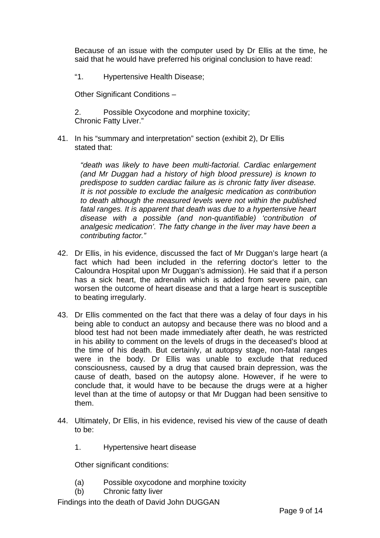Because of an issue with the computer used by Dr Ellis at the time, he said that he would have preferred his original conclusion to have read:

"1. Hypertensive Health Disease;

Other Significant Conditions –

2. Possible Oxycodone and morphine toxicity; Chronic Fatty Liver."

41. In his "summary and interpretation" section (exhibit 2), Dr Ellis stated that:

*"death was likely to have been multi-factorial. Cardiac enlargement (and Mr Duggan had a history of high blood pressure) is known to predispose to sudden cardiac failure as is chronic fatty liver disease. It is not possible to exclude the analgesic medication as contribution to death although the measured levels were not within the published*  fatal ranges. It is apparent that death was due to a hypertensive heart *disease with a possible (and non-quantifiable) 'contribution of analgesic medication'. The fatty change in the liver may have been a contributing factor."*

- 42. Dr Ellis, in his evidence, discussed the fact of Mr Duggan's large heart (a fact which had been included in the referring doctor's letter to the Caloundra Hospital upon Mr Duggan's admission). He said that if a person has a sick heart, the adrenalin which is added from severe pain, can worsen the outcome of heart disease and that a large heart is susceptible to beating irregularly.
- 43. Dr Ellis commented on the fact that there was a delay of four days in his being able to conduct an autopsy and because there was no blood and a blood test had not been made immediately after death, he was restricted in his ability to comment on the levels of drugs in the deceased's blood at the time of his death. But certainly, at autopsy stage, non-fatal ranges were in the body. Dr Ellis was unable to exclude that reduced consciousness, caused by a drug that caused brain depression, was the cause of death, based on the autopsy alone. However, if he were to conclude that, it would have to be because the drugs were at a higher level than at the time of autopsy or that Mr Duggan had been sensitive to them.
- 44. Ultimately, Dr Ellis, in his evidence, revised his view of the cause of death to be:
	- 1. Hypertensive heart disease

Other significant conditions:

- (a) Possible oxycodone and morphine toxicity
- (b) Chronic fatty liver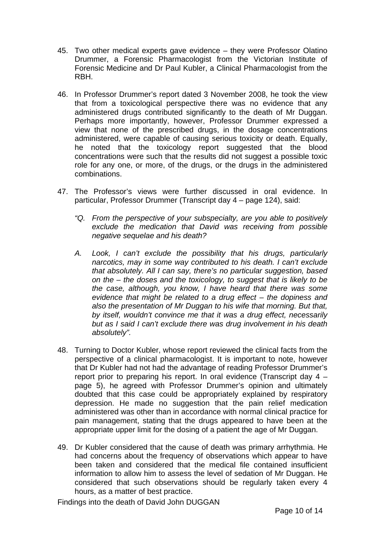- 45. Two other medical experts gave evidence they were Professor Olatino Drummer, a Forensic Pharmacologist from the Victorian Institute of Forensic Medicine and Dr Paul Kubler, a Clinical Pharmacologist from the RBH.
- 46. In Professor Drummer's report dated 3 November 2008, he took the view that from a toxicological perspective there was no evidence that any administered drugs contributed significantly to the death of Mr Duggan. Perhaps more importantly, however, Professor Drummer expressed a view that none of the prescribed drugs, in the dosage concentrations administered, were capable of causing serious toxicity or death. Equally, he noted that the toxicology report suggested that the blood concentrations were such that the results did not suggest a possible toxic role for any one, or more, of the drugs, or the drugs in the administered combinations.
- 47. The Professor's views were further discussed in oral evidence. In particular, Professor Drummer (Transcript day 4 – page 124), said:
	- *"Q. From the perspective of your subspecialty, are you able to positively exclude the medication that David was receiving from possible negative sequelae and his death?*
	- *A. Look, I can't exclude the possibility that his drugs, particularly narcotics, may in some way contributed to his death. I can't exclude that absolutely. All I can say, there's no particular suggestion, based on the – the doses and the toxicology, to suggest that is likely to be the case, although, you know, I have heard that there was some evidence that might be related to a drug effect – the dopiness and also the presentation of Mr Duggan to his wife that morning. But that, by itself, wouldn't convince me that it was a drug effect, necessarily but as I said I can't exclude there was drug involvement in his death absolutely".*
- 48. Turning to Doctor Kubler, whose report reviewed the clinical facts from the perspective of a clinical pharmacologist. It is important to note, however that Dr Kubler had not had the advantage of reading Professor Drummer's report prior to preparing his report. In oral evidence (Transcript day 4 – page 5), he agreed with Professor Drummer's opinion and ultimately doubted that this case could be appropriately explained by respiratory depression. He made no suggestion that the pain relief medication administered was other than in accordance with normal clinical practice for pain management, stating that the drugs appeared to have been at the appropriate upper limit for the dosing of a patient the age of Mr Duggan.
- 49. Dr Kubler considered that the cause of death was primary arrhythmia. He had concerns about the frequency of observations which appear to have been taken and considered that the medical file contained insufficient information to allow him to assess the level of sedation of Mr Duggan. He considered that such observations should be regularly taken every 4 hours, as a matter of best practice.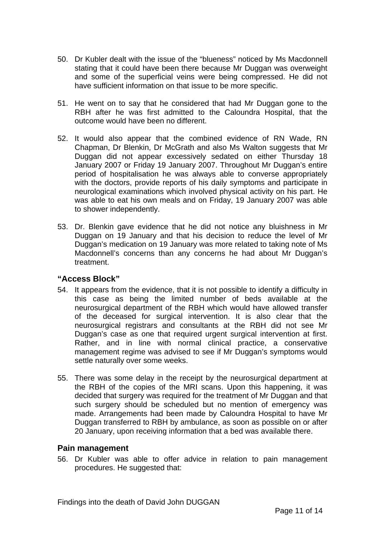- 50. Dr Kubler dealt with the issue of the "blueness" noticed by Ms Macdonnell stating that it could have been there because Mr Duggan was overweight and some of the superficial veins were being compressed. He did not have sufficient information on that issue to be more specific.
- 51. He went on to say that he considered that had Mr Duggan gone to the RBH after he was first admitted to the Caloundra Hospital, that the outcome would have been no different.
- 52. It would also appear that the combined evidence of RN Wade, RN Chapman, Dr Blenkin, Dr McGrath and also Ms Walton suggests that Mr Duggan did not appear excessively sedated on either Thursday 18 January 2007 or Friday 19 January 2007. Throughout Mr Duggan's entire period of hospitalisation he was always able to converse appropriately with the doctors, provide reports of his daily symptoms and participate in neurological examinations which involved physical activity on his part. He was able to eat his own meals and on Friday, 19 January 2007 was able to shower independently.
- 53. Dr. Blenkin gave evidence that he did not notice any bluishness in Mr Duggan on 19 January and that his decision to reduce the level of Mr Duggan's medication on 19 January was more related to taking note of Ms Macdonnell's concerns than any concerns he had about Mr Duggan's treatment.

# **"Access Block"**

- 54. It appears from the evidence, that it is not possible to identify a difficulty in this case as being the limited number of beds available at the neurosurgical department of the RBH which would have allowed transfer of the deceased for surgical intervention. It is also clear that the neurosurgical registrars and consultants at the RBH did not see Mr Duggan's case as one that required urgent surgical intervention at first. Rather, and in line with normal clinical practice, a conservative management regime was advised to see if Mr Duggan's symptoms would settle naturally over some weeks.
- 55. There was some delay in the receipt by the neurosurgical department at the RBH of the copies of the MRI scans. Upon this happening, it was decided that surgery was required for the treatment of Mr Duggan and that such surgery should be scheduled but no mention of emergency was made. Arrangements had been made by Caloundra Hospital to have Mr Duggan transferred to RBH by ambulance, as soon as possible on or after 20 January, upon receiving information that a bed was available there.

#### **Pain management**

56. Dr Kubler was able to offer advice in relation to pain management procedures. He suggested that: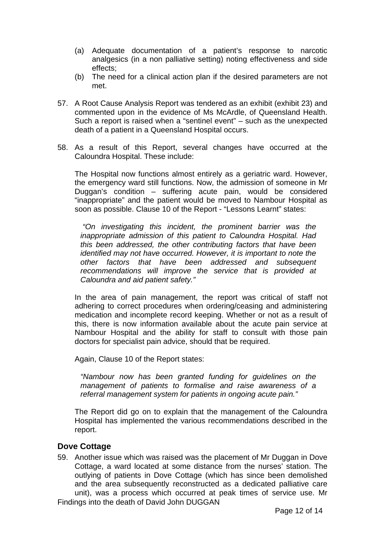- (a) Adequate documentation of a patient's response to narcotic analgesics (in a non palliative setting) noting effectiveness and side effects;
- (b) The need for a clinical action plan if the desired parameters are not met.
- 57. A Root Cause Analysis Report was tendered as an exhibit (exhibit 23) and commented upon in the evidence of Ms McArdle, of Queensland Health. Such a report is raised when a "sentinel event" – such as the unexpected death of a patient in a Queensland Hospital occurs.
- 58. As a result of this Report, several changes have occurred at the Caloundra Hospital. These include:

The Hospital now functions almost entirely as a geriatric ward. However, the emergency ward still functions. Now, the admission of someone in Mr Duggan's condition – suffering acute pain, would be considered "inappropriate" and the patient would be moved to Nambour Hospital as soon as possible. Clause 10 of the Report - "Lessons Learnt" states:

*"On investigating this incident, the prominent barrier was the inappropriate admission of this patient to Caloundra Hospital. Had this been addressed, the other contributing factors that have been identified may not have occurred. However, it is important to note the other factors that have been addressed and subsequent recommendations will improve the service that is provided at Caloundra and aid patient safety."* 

In the area of pain management, the report was critical of staff not adhering to correct procedures when ordering/ceasing and administering medication and incomplete record keeping. Whether or not as a result of this, there is now information available about the acute pain service at Nambour Hospital and the ability for staff to consult with those pain doctors for specialist pain advice, should that be required.

Again, Clause 10 of the Report states:

*"Nambour now has been granted funding for guidelines on the management of patients to formalise and raise awareness of a referral management system for patients in ongoing acute pain."* 

The Report did go on to explain that the management of the Caloundra Hospital has implemented the various recommendations described in the report.

# **Dove Cottage**

59. Another issue which was raised was the placement of Mr Duggan in Dove Cottage, a ward located at some distance from the nurses' station. The outlying of patients in Dove Cottage (which has since been demolished and the area subsequently reconstructed as a dedicated palliative care unit), was a process which occurred at peak times of service use. Mr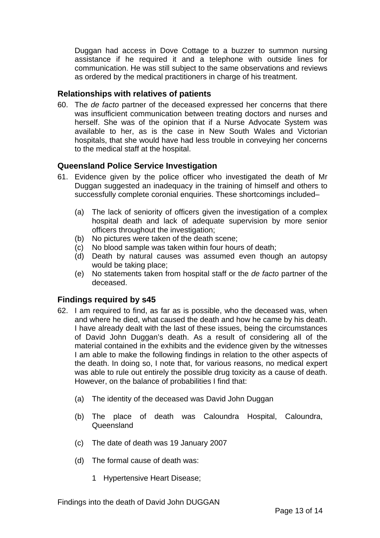Duggan had access in Dove Cottage to a buzzer to summon nursing assistance if he required it and a telephone with outside lines for communication. He was still subject to the same observations and reviews as ordered by the medical practitioners in charge of his treatment.

### **Relationships with relatives of patients**

60. The *de facto* partner of the deceased expressed her concerns that there was insufficient communication between treating doctors and nurses and herself. She was of the opinion that if a Nurse Advocate System was available to her, as is the case in New South Wales and Victorian hospitals, that she would have had less trouble in conveying her concerns to the medical staff at the hospital.

# **Queensland Police Service Investigation**

- 61. Evidence given by the police officer who investigated the death of Mr Duggan suggested an inadequacy in the training of himself and others to successfully complete coronial enquiries. These shortcomings included–
	- (a) The lack of seniority of officers given the investigation of a complex hospital death and lack of adequate supervision by more senior officers throughout the investigation;
	- (b) No pictures were taken of the death scene;
	- (c) No blood sample was taken within four hours of death;
	- (d) Death by natural causes was assumed even though an autopsy would be taking place;
	- (e) No statements taken from hospital staff or the *de facto* partner of the deceased.

# **Findings required by s45**

- 62. I am required to find, as far as is possible, who the deceased was, when and where he died, what caused the death and how he came by his death. I have already dealt with the last of these issues, being the circumstances of David John Duggan's death. As a result of considering all of the material contained in the exhibits and the evidence given by the witnesses I am able to make the following findings in relation to the other aspects of the death. In doing so, I note that, for various reasons, no medical expert was able to rule out entirely the possible drug toxicity as a cause of death. However, on the balance of probabilities I find that:
	- (a) The identity of the deceased was David John Duggan
	- (b) The place of death was Caloundra Hospital, Caloundra, Queensland
	- (c) The date of death was 19 January 2007
	- (d) The formal cause of death was:
		- 1 Hypertensive Heart Disease;